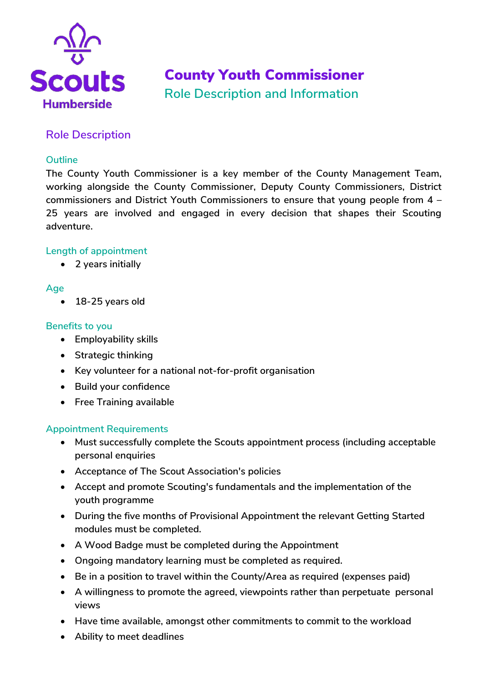

# County Youth Commissioner **Role Description and Information**

# **Role Description**

### **Outline**

**The County Youth Commissioner is a key member of the County Management Team, working alongside the County Commissioner, Deputy County Commissioners, District commissioners and District Youth Commissioners to ensure that young people from 4 – 25 years are involved and engaged in every decision that shapes their Scouting adventure.** 

### **Length of appointment**

**2 years initially** 

### **Age**

**18-25 years old** 

#### **Benefits to you**

- **Employability skills**
- **Strategic thinking**
- **Key volunteer for a national not-for-profit organisation**
- **Build your confidence**
- **•** Free Training available

#### **Appointment Requirements**

- **Must successfully complete the Scouts appointment process (including acceptable personal enquiries**
- **Acceptance of The Scout Association's policies**
- **Accept and promote Scouting's fundamentals and the implementation of the youth programme**
- **During the five months of Provisional Appointment the relevant Getting Started modules must be completed.**
- **A Wood Badge must be completed during the Appointment**
- **Ongoing mandatory learning must be completed as required.**
- **Be in a position to travel within the County/Area as required (expenses paid)**
- **A willingness to promote the agreed, viewpoints rather than perpetuate personal views**
- **Have time available, amongst other commitments to commit to the workload**
- **Ability to meet deadlines**